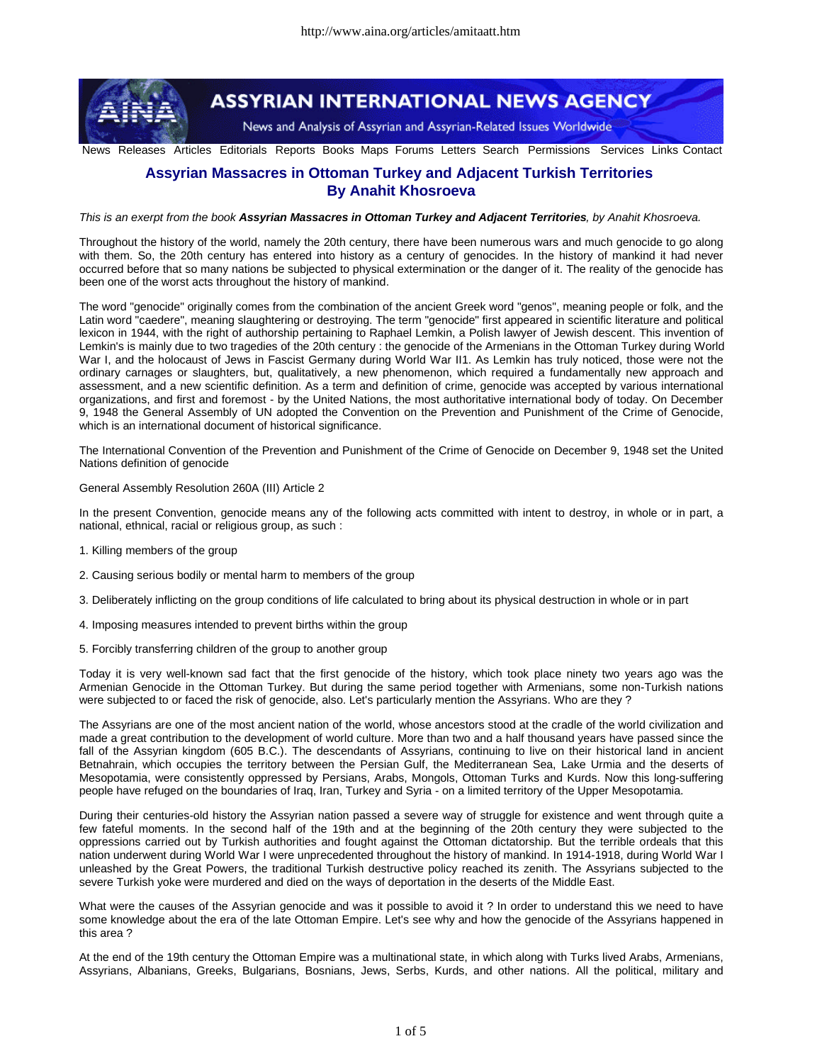

## **ASSYRIAN INTERNATIONAL NEWS AGENCY**

News and Analysis of Assyrian and Assyrian-Related Issues Worldwide

News Releases Articles Editorials Reports Books Maps Forums Letters Search Permissions Services Links Contact

## **Assyrian Massacres in Ottoman Turkey and Adjacent Turkish Territories By Anahit Khosroeva**

This is an exerpt from the book Assyrian Massacres in Ottoman Turkey and Adjacent Territories, by Anahit Khosroeva.

Throughout the history of the world, namely the 20th century, there have been numerous wars and much genocide to go along with them. So, the 20th century has entered into history as a century of genocides. In the history of mankind it had never occurred before that so many nations be subjected to physical extermination or the danger of it. The reality of the genocide has been one of the worst acts throughout the history of mankind.

The word "genocide" originally comes from the combination of the ancient Greek word "genos", meaning people or folk, and the Latin word "caedere", meaning slaughtering or destroying. The term "genocide" first appeared in scientific literature and political lexicon in 1944, with the right of authorship pertaining to Raphael Lemkin, a Polish lawyer of Jewish descent. This invention of Lemkin's is mainly due to two tragedies of the 20th century : the genocide of the Armenians in the Ottoman Turkey during World War I, and the holocaust of Jews in Fascist Germany during World War II1. As Lemkin has truly noticed, those were not the ordinary carnages or slaughters, but, qualitatively, a new phenomenon, which required a fundamentally new approach and assessment, and a new scientific definition. As a term and definition of crime, genocide was accepted by various international organizations, and first and foremost - by the United Nations, the most authoritative international body of today. On December 9, 1948 the General Assembly of UN adopted the Convention on the Prevention and Punishment of the Crime of Genocide, which is an international document of historical significance.

The International Convention of the Prevention and Punishment of the Crime of Genocide on December 9, 1948 set the United Nations definition of genocide

## General Assembly Resolution 260A (III) Article 2

In the present Convention, genocide means any of the following acts committed with intent to destroy, in whole or in part, a national, ethnical, racial or religious group, as such :

- 1. Killing members of the group
- 2. Causing serious bodily or mental harm to members of the group
- 3. Deliberately inflicting on the group conditions of life calculated to bring about its physical destruction in whole or in part
- 4. Imposing measures intended to prevent births within the group
- 5. Forcibly transferring children of the group to another group

Today it is very well-known sad fact that the first genocide of the history, which took place ninety two years ago was the Armenian Genocide in the Ottoman Turkey. But during the same period together with Armenians, some non-Turkish nations were subjected to or faced the risk of genocide, also. Let's particularly mention the Assyrians. Who are they ?

The Assyrians are one of the most ancient nation of the world, whose ancestors stood at the cradle of the world civilization and made a great contribution to the development of world culture. More than two and a half thousand years have passed since the fall of the Assyrian kingdom (605 B.C.). The descendants of Assyrians, continuing to live on their historical land in ancient Betnahrain, which occupies the territory between the Persian Gulf, the Mediterranean Sea, Lake Urmia and the deserts of Mesopotamia, were consistently oppressed by Persians, Arabs, Mongols, Ottoman Turks and Kurds. Now this long-suffering people have refuged on the boundaries of Iraq, Iran, Turkey and Syria - on a limited territory of the Upper Mesopotamia.

During their centuries-old history the Assyrian nation passed a severe way of struggle for existence and went through quite a few fateful moments. In the second half of the 19th and at the beginning of the 20th century they were subjected to the oppressions carried out by Turkish authorities and fought against the Ottoman dictatorship. But the terrible ordeals that this nation underwent during World War I were unprecedented throughout the history of mankind. In 1914-1918, during World War I unleashed by the Great Powers, the traditional Turkish destructive policy reached its zenith. The Assyrians subjected to the severe Turkish yoke were murdered and died on the ways of deportation in the deserts of the Middle East.

What were the causes of the Assyrian genocide and was it possible to avoid it ? In order to understand this we need to have some knowledge about the era of the late Ottoman Empire. Let's see why and how the genocide of the Assyrians happened in this area ?

At the end of the 19th century the Ottoman Empire was a multinational state, in which along with Turks lived Arabs, Armenians, Assyrians, Albanians, Greeks, Bulgarians, Bosnians, Jews, Serbs, Kurds, and other nations. All the political, military and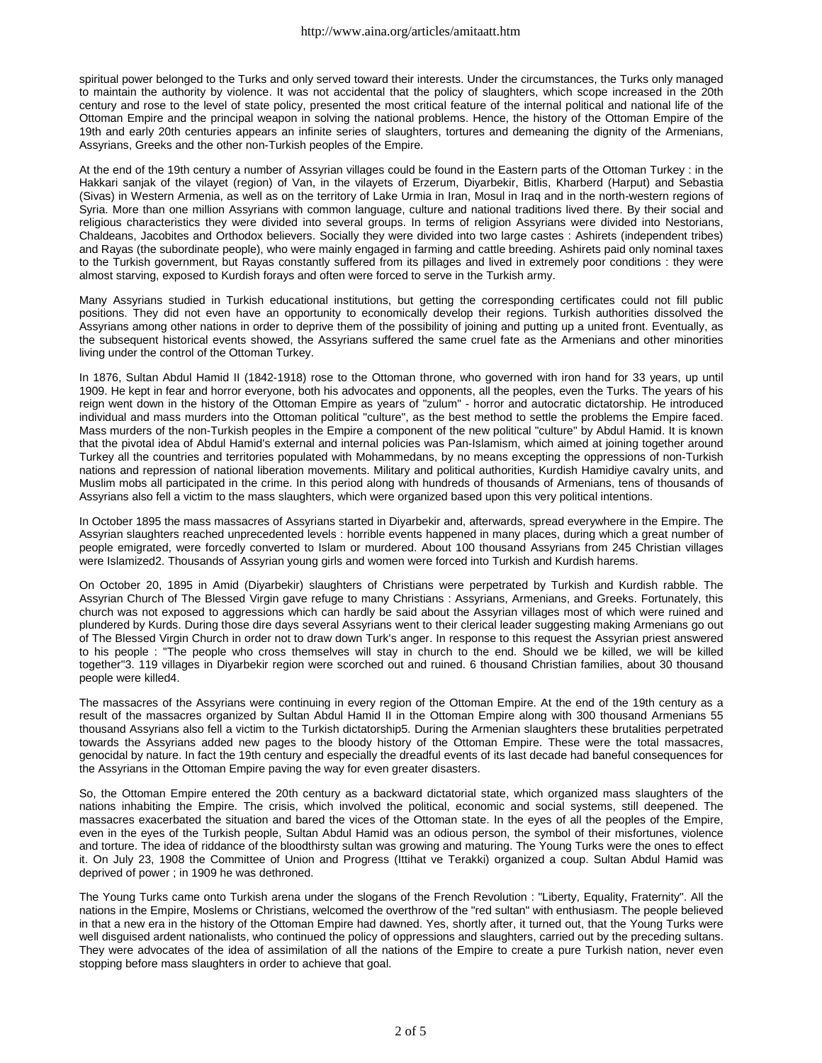spiritual power belonged to the Turks and only served toward their interests. Under the circumstances, the Turks only managed to maintain the authority by violence. It was not accidental that the policy of slaughters, which scope increased in the 20th century and rose to the level of state policy, presented the most critical feature of the internal political and national life of the Ottoman Empire and the principal weapon in solving the national problems. Hence, the history of the Ottoman Empire of the 19th and early 20th centuries appears an infinite series of slaughters, tortures and demeaning the dignity of the Armenians, Assyrians, Greeks and the other non-Turkish peoples of the Empire.

At the end of the 19th century a number of Assyrian villages could be found in the Eastern parts of the Ottoman Turkey : in the Hakkari sanjak of the vilayet (region) of Van, in the vilayets of Erzerum, Diyarbekir, Bitlis, Kharberd (Harput) and Sebastia (Sivas) in Western Armenia, as well as on the territory of Lake Urmia in Iran, Mosul in Iraq and in the north-western regions of Syria. More than one million Assyrians with common language, culture and national traditions lived there. By their social and religious characteristics they were divided into several groups. In terms of religion Assyrians were divided into Nestorians, Chaldeans, Jacobites and Orthodox believers. Socially they were divided into two large castes : Ashirets (independent tribes) and Rayas (the subordinate people), who were mainly engaged in farming and cattle breeding. Ashirets paid only nominal taxes to the Turkish government, but Rayas constantly suffered from its pillages and lived in extremely poor conditions : they were almost starving, exposed to Kurdish forays and often were forced to serve in the Turkish army.

Many Assyrians studied in Turkish educational institutions, but getting the corresponding certificates could not fill public positions. They did not even have an opportunity to economically develop their regions. Turkish authorities dissolved the Assyrians among other nations in order to deprive them of the possibility of joining and putting up a united front. Eventually, as the subsequent historical events showed, the Assyrians suffered the same cruel fate as the Armenians and other minorities living under the control of the Ottoman Turkey.

In 1876, Sultan Abdul Hamid II (1842-1918) rose to the Ottoman throne, who governed with iron hand for 33 years, up until 1909. He kept in fear and horror everyone, both his advocates and opponents, all the peoples, even the Turks. The years of his reign went down in the history of the Ottoman Empire as years of "zulum" - horror and autocratic dictatorship. He introduced individual and mass murders into the Ottoman political "culture", as the best method to settle the problems the Empire faced. Mass murders of the non-Turkish peoples in the Empire a component of the new political "culture" by Abdul Hamid. It is known that the pivotal idea of Abdul Hamid's external and internal policies was Pan-Islamism, which aimed at joining together around Turkey all the countries and territories populated with Mohammedans, by no means excepting the oppressions of non-Turkish nations and repression of national liberation movements. Military and political authorities, Kurdish Hamidiye cavalry units, and Muslim mobs all participated in the crime. In this period along with hundreds of thousands of Armenians, tens of thousands of Assyrians also fell a victim to the mass slaughters, which were organized based upon this very political intentions.

In October 1895 the mass massacres of Assyrians started in Diyarbekir and, afterwards, spread everywhere in the Empire. The Assyrian slaughters reached unprecedented levels : horrible events happened in many places, during which a great number of people emigrated, were forcedly converted to Islam or murdered. About 100 thousand Assyrians from 245 Christian villages were Islamized2. Thousands of Assyrian young girls and women were forced into Turkish and Kurdish harems.

On October 20, 1895 in Amid (Diyarbekir) slaughters of Christians were perpetrated by Turkish and Kurdish rabble. The Assyrian Church of The Blessed Virgin gave refuge to many Christians : Assyrians, Armenians, and Greeks. Fortunately, this church was not exposed to aggressions which can hardly be said about the Assyrian villages most of which were ruined and plundered by Kurds. During those dire days several Assyrians went to their clerical leader suggesting making Armenians go out of The Blessed Virgin Church in order not to draw down Turk's anger. In response to this request the Assyrian priest answered to his people : "The people who cross themselves will stay in church to the end. Should we be killed, we will be killed together"3. 119 villages in Diyarbekir region were scorched out and ruined. 6 thousand Christian families, about 30 thousand people were killed4.

The massacres of the Assyrians were continuing in every region of the Ottoman Empire. At the end of the 19th century as a result of the massacres organized by Sultan Abdul Hamid II in the Ottoman Empire along with 300 thousand Armenians 55 thousand Assyrians also fell a victim to the Turkish dictatorship5. During the Armenian slaughters these brutalities perpetrated towards the Assyrians added new pages to the bloody history of the Ottoman Empire. These were the total massacres, genocidal by nature. In fact the 19th century and especially the dreadful events of its last decade had baneful consequences for the Assyrians in the Ottoman Empire paving the way for even greater disasters.

So, the Ottoman Empire entered the 20th century as a backward dictatorial state, which organized mass slaughters of the nations inhabiting the Empire. The crisis, which involved the political, economic and social systems, still deepened. The massacres exacerbated the situation and bared the vices of the Ottoman state. In the eyes of all the peoples of the Empire, even in the eyes of the Turkish people, Sultan Abdul Hamid was an odious person, the symbol of their misfortunes, violence and torture. The idea of riddance of the bloodthirsty sultan was growing and maturing. The Young Turks were the ones to effect it. On July 23, 1908 the Committee of Union and Progress (Ittihat ve Terakki) organized a coup. Sultan Abdul Hamid was deprived of power ; in 1909 he was dethroned.

The Young Turks came onto Turkish arena under the slogans of the French Revolution : "Liberty, Equality, Fraternity". All the nations in the Empire, Moslems or Christians, welcomed the overthrow of the "red sultan" with enthusiasm. The people believed in that a new era in the history of the Ottoman Empire had dawned. Yes, shortly after, it turned out, that the Young Turks were well disguised ardent nationalists, who continued the policy of oppressions and slaughters, carried out by the preceding sultans. They were advocates of the idea of assimilation of all the nations of the Empire to create a pure Turkish nation, never even stopping before mass slaughters in order to achieve that goal.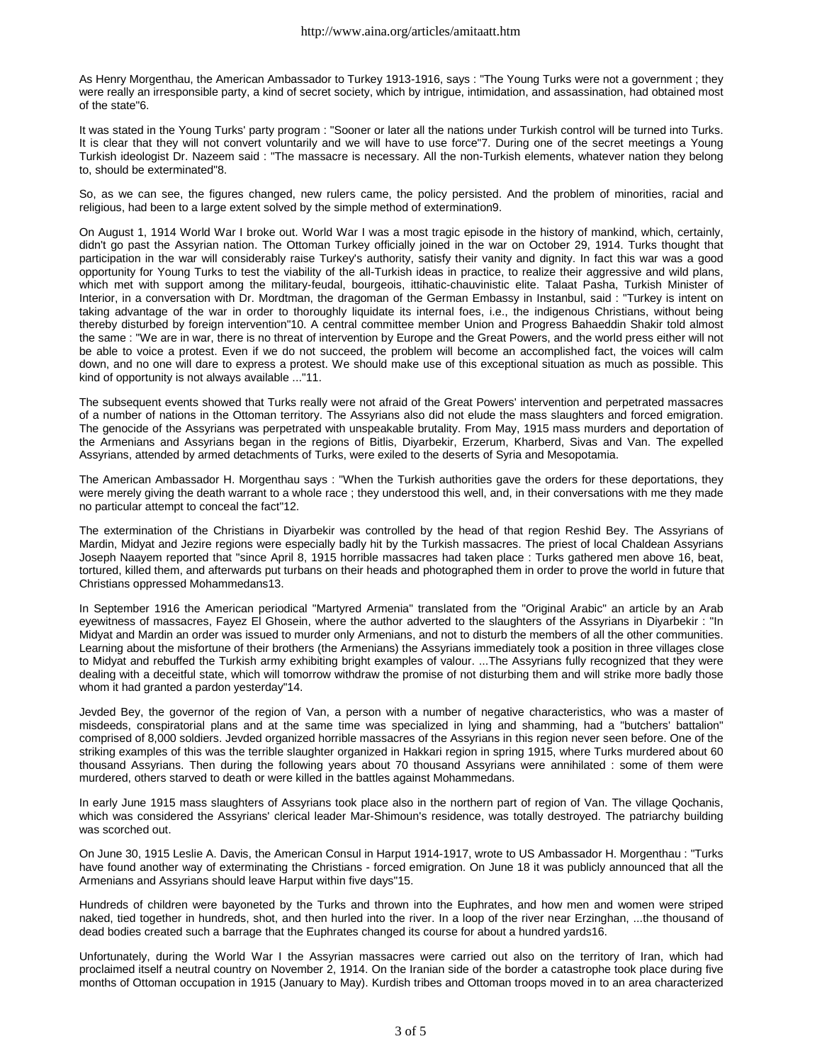As Henry Morgenthau, the American Ambassador to Turkey 1913-1916, says : "The Young Turks were not a government ; they were really an irresponsible party, a kind of secret society, which by intrigue, intimidation, and assassination, had obtained most of the state"6.

It was stated in the Young Turks' party program : "Sooner or later all the nations under Turkish control will be turned into Turks. It is clear that they will not convert voluntarily and we will have to use force"7. During one of the secret meetings a Young Turkish ideologist Dr. Nazeem said : "The massacre is necessary. All the non-Turkish elements, whatever nation they belong to, should be exterminated"8.

So, as we can see, the figures changed, new rulers came, the policy persisted. And the problem of minorities, racial and religious, had been to a large extent solved by the simple method of extermination9.

On August 1, 1914 World War I broke out. World War I was a most tragic episode in the history of mankind, which, certainly, didn't go past the Assyrian nation. The Ottoman Turkey officially joined in the war on October 29, 1914. Turks thought that participation in the war will considerably raise Turkey's authority, satisfy their vanity and dignity. In fact this war was a good opportunity for Young Turks to test the viability of the all-Turkish ideas in practice, to realize their aggressive and wild plans, which met with support among the military-feudal, bourgeois, ittihatic-chauvinistic elite. Talaat Pasha, Turkish Minister of Interior, in a conversation with Dr. Mordtman, the dragoman of the German Embassy in Instanbul, said : "Turkey is intent on taking advantage of the war in order to thoroughly liquidate its internal foes, i.e., the indigenous Christians, without being thereby disturbed by foreign intervention"10. A central committee member Union and Progress Bahaeddin Shakir told almost the same : "We are in war, there is no threat of intervention by Europe and the Great Powers, and the world press either will not be able to voice a protest. Even if we do not succeed, the problem will become an accomplished fact, the voices will calm down, and no one will dare to express a protest. We should make use of this exceptional situation as much as possible. This kind of opportunity is not always available ..."11.

The subsequent events showed that Turks really were not afraid of the Great Powers' intervention and perpetrated massacres of a number of nations in the Ottoman territory. The Assyrians also did not elude the mass slaughters and forced emigration. The genocide of the Assyrians was perpetrated with unspeakable brutality. From May, 1915 mass murders and deportation of the Armenians and Assyrians began in the regions of Bitlis, Diyarbekir, Erzerum, Kharberd, Sivas and Van. The expelled Assyrians, attended by armed detachments of Turks, were exiled to the deserts of Syria and Mesopotamia.

The American Ambassador H. Morgenthau says : "When the Turkish authorities gave the orders for these deportations, they were merely giving the death warrant to a whole race ; they understood this well, and, in their conversations with me they made no particular attempt to conceal the fact"12.

The extermination of the Christians in Diyarbekir was controlled by the head of that region Reshid Bey. The Assyrians of Mardin, Midyat and Jezire regions were especially badly hit by the Turkish massacres. The priest of local Chaldean Assyrians Joseph Naayem reported that "since April 8, 1915 horrible massacres had taken place : Turks gathered men above 16, beat, tortured, killed them, and afterwards put turbans on their heads and photographed them in order to prove the world in future that Christians oppressed Mohammedans13.

In September 1916 the American periodical "Martyred Armenia" translated from the "Original Arabic" an article by an Arab eyewitness of massacres, Fayez El Ghosein, where the author adverted to the slaughters of the Assyrians in Diyarbekir : "In Midyat and Mardin an order was issued to murder only Armenians, and not to disturb the members of all the other communities. Learning about the misfortune of their brothers (the Armenians) the Assyrians immediately took a position in three villages close to Midyat and rebuffed the Turkish army exhibiting bright examples of valour. ...The Assyrians fully recognized that they were dealing with a deceitful state, which will tomorrow withdraw the promise of not disturbing them and will strike more badly those whom it had granted a pardon yesterday"14.

Jevded Bey, the governor of the region of Van, a person with a number of negative characteristics, who was a master of misdeeds, conspiratorial plans and at the same time was specialized in lying and shamming, had a "butchers' battalion" comprised of 8,000 soldiers. Jevded organized horrible massacres of the Assyrians in this region never seen before. One of the striking examples of this was the terrible slaughter organized in Hakkari region in spring 1915, where Turks murdered about 60 thousand Assyrians. Then during the following years about 70 thousand Assyrians were annihilated : some of them were murdered, others starved to death or were killed in the battles against Mohammedans.

In early June 1915 mass slaughters of Assyrians took place also in the northern part of region of Van. The village Qochanis, which was considered the Assyrians' clerical leader Mar-Shimoun's residence, was totally destroyed. The patriarchy building was scorched out.

On June 30, 1915 Leslie A. Davis, the American Consul in Harput 1914-1917, wrote to US Ambassador H. Morgenthau : "Turks have found another way of exterminating the Christians - forced emigration. On June 18 it was publicly announced that all the Armenians and Assyrians should leave Harput within five days"15.

Hundreds of children were bayoneted by the Turks and thrown into the Euphrates, and how men and women were striped naked, tied together in hundreds, shot, and then hurled into the river. In a loop of the river near Erzinghan, ...the thousand of dead bodies created such a barrage that the Euphrates changed its course for about a hundred yards16.

Unfortunately, during the World War I the Assyrian massacres were carried out also on the territory of Iran, which had proclaimed itself a neutral country on November 2, 1914. On the Iranian side of the border a catastrophe took place during five months of Ottoman occupation in 1915 (January to May). Kurdish tribes and Ottoman troops moved in to an area characterized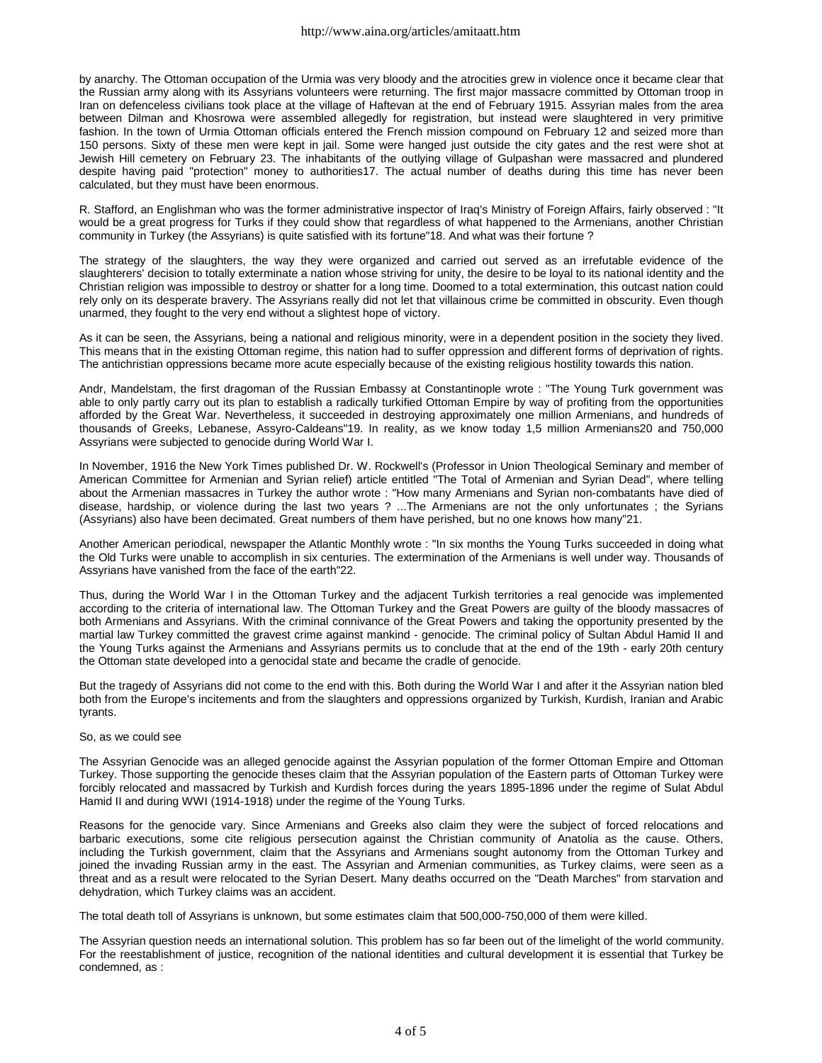by anarchy. The Ottoman occupation of the Urmia was very bloody and the atrocities grew in violence once it became clear that the Russian army along with its Assyrians volunteers were returning. The first major massacre committed by Ottoman troop in Iran on defenceless civilians took place at the village of Haftevan at the end of February 1915. Assyrian males from the area between Dilman and Khosrowa were assembled allegedly for registration, but instead were slaughtered in very primitive fashion. In the town of Urmia Ottoman officials entered the French mission compound on February 12 and seized more than 150 persons. Sixty of these men were kept in jail. Some were hanged just outside the city gates and the rest were shot at Jewish Hill cemetery on February 23. The inhabitants of the outlying village of Gulpashan were massacred and plundered despite having paid "protection" money to authorities17. The actual number of deaths during this time has never been calculated, but they must have been enormous.

R. Stafford, an Englishman who was the former administrative inspector of Iraq's Ministry of Foreign Affairs, fairly observed : "It would be a great progress for Turks if they could show that regardless of what happened to the Armenians, another Christian community in Turkey (the Assyrians) is quite satisfied with its fortune"18. And what was their fortune ?

The strategy of the slaughters, the way they were organized and carried out served as an irrefutable evidence of the slaughterers' decision to totally exterminate a nation whose striving for unity, the desire to be loyal to its national identity and the Christian religion was impossible to destroy or shatter for a long time. Doomed to a total extermination, this outcast nation could rely only on its desperate bravery. The Assyrians really did not let that villainous crime be committed in obscurity. Even though unarmed, they fought to the very end without a slightest hope of victory.

As it can be seen, the Assyrians, being a national and religious minority, were in a dependent position in the society they lived. This means that in the existing Ottoman regime, this nation had to suffer oppression and different forms of deprivation of rights. The antichristian oppressions became more acute especially because of the existing religious hostility towards this nation.

Andr, Mandelstam, the first dragoman of the Russian Embassy at Constantinople wrote : "The Young Turk government was able to only partly carry out its plan to establish a radically turkified Ottoman Empire by way of profiting from the opportunities afforded by the Great War. Nevertheless, it succeeded in destroying approximately one million Armenians, and hundreds of thousands of Greeks, Lebanese, Assyro-Caldeans"19. In reality, as we know today 1,5 million Armenians20 and 750,000 Assyrians were subjected to genocide during World War I.

In November, 1916 the New York Times published Dr. W. Rockwell's (Professor in Union Theological Seminary and member of American Committee for Armenian and Syrian relief) article entitled "The Total of Armenian and Syrian Dead", where telling about the Armenian massacres in Turkey the author wrote : "How many Armenians and Syrian non-combatants have died of disease, hardship, or violence during the last two years ? ...The Armenians are not the only unfortunates ; the Syrians (Assyrians) also have been decimated. Great numbers of them have perished, but no one knows how many"21.

Another American periodical, newspaper the Atlantic Monthly wrote : "In six months the Young Turks succeeded in doing what the Old Turks were unable to accomplish in six centuries. The extermination of the Armenians is well under way. Thousands of Assyrians have vanished from the face of the earth"22.

Thus, during the World War I in the Ottoman Turkey and the adjacent Turkish territories a real genocide was implemented according to the criteria of international law. The Ottoman Turkey and the Great Powers are guilty of the bloody massacres of both Armenians and Assyrians. With the criminal connivance of the Great Powers and taking the opportunity presented by the martial law Turkey committed the gravest crime against mankind - genocide. The criminal policy of Sultan Abdul Hamid II and the Young Turks against the Armenians and Assyrians permits us to conclude that at the end of the 19th - early 20th century the Ottoman state developed into a genocidal state and became the cradle of genocide.

But the tragedy of Assyrians did not come to the end with this. Both during the World War I and after it the Assyrian nation bled both from the Europe's incitements and from the slaughters and oppressions organized by Turkish, Kurdish, Iranian and Arabic tyrants.

## So, as we could see

The Assyrian Genocide was an alleged genocide against the Assyrian population of the former Ottoman Empire and Ottoman Turkey. Those supporting the genocide theses claim that the Assyrian population of the Eastern parts of Ottoman Turkey were forcibly relocated and massacred by Turkish and Kurdish forces during the years 1895-1896 under the regime of Sulat Abdul Hamid II and during WWI (1914-1918) under the regime of the Young Turks.

Reasons for the genocide vary. Since Armenians and Greeks also claim they were the subject of forced relocations and barbaric executions, some cite religious persecution against the Christian community of Anatolia as the cause. Others, including the Turkish government, claim that the Assyrians and Armenians sought autonomy from the Ottoman Turkey and joined the invading Russian army in the east. The Assyrian and Armenian communities, as Turkey claims, were seen as a threat and as a result were relocated to the Syrian Desert. Many deaths occurred on the "Death Marches" from starvation and dehydration, which Turkey claims was an accident.

The total death toll of Assyrians is unknown, but some estimates claim that 500,000-750,000 of them were killed.

The Assyrian question needs an international solution. This problem has so far been out of the limelight of the world community. For the reestablishment of justice, recognition of the national identities and cultural development it is essential that Turkey be condemned, as :